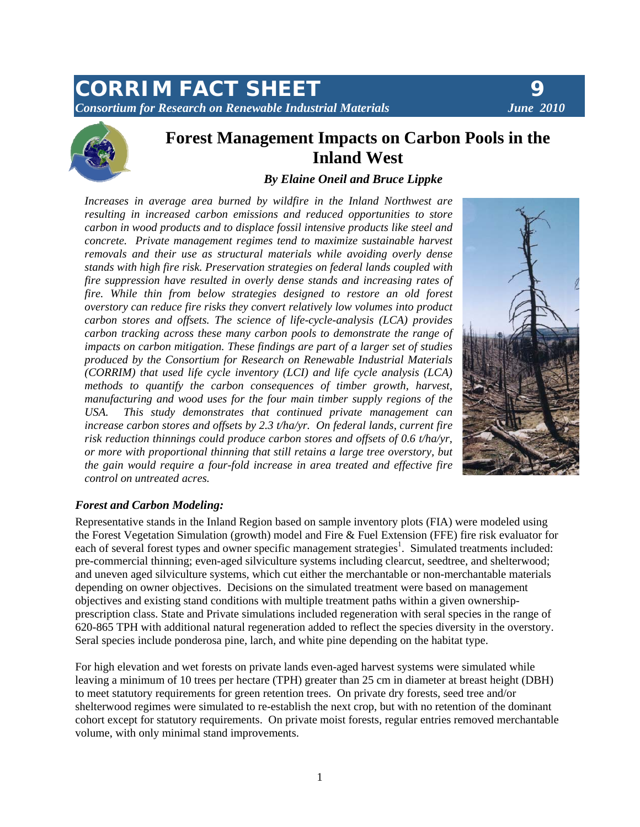# *CORRIM FACT SHEET 9 Consortium for Research on Renewable Industrial Materials June 2010*





# **Forest Management Impacts on Carbon Pools in the Inland West**

## *By Elaine Oneil and Bruce Lippke*

*Increases in average area burned by wildfire in the Inland Northwest are resulting in increased carbon emissions and reduced opportunities to store carbon in wood products and to displace fossil intensive products like steel and concrete. Private management regimes tend to maximize sustainable harvest removals and their use as structural materials while avoiding overly dense stands with high fire risk. Preservation strategies on federal lands coupled with fire suppression have resulted in overly dense stands and increasing rates of fire. While thin from below strategies designed to restore an old forest overstory can reduce fire risks they convert relatively low volumes into product carbon stores and offsets. The science of life-cycle-analysis (LCA) provides carbon tracking across these many carbon pools to demonstrate the range of impacts on carbon mitigation. These findings are part of a larger set of studies produced by the Consortium for Research on Renewable Industrial Materials (CORRIM) that used life cycle inventory (LCI) and life cycle analysis (LCA) methods to quantify the carbon consequences of timber growth, harvest, manufacturing and wood uses for the four main timber supply regions of the USA. This study demonstrates that continued private management can increase carbon stores and offsets by 2.3 t/ha/yr. On federal lands, current fire risk reduction thinnings could produce carbon stores and offsets of 0.6 t/ha/yr, or more with proportional thinning that still retains a large tree overstory, but the gain would require a four-fold increase in area treated and effective fire control on untreated acres.* 



#### *Forest and Carbon Modeling:*

Representative stands in the Inland Region based on sample inventory plots (FIA) were modeled using the Forest Vegetation Simulation (growth) model and Fire & Fuel Extension (FFE) fire risk evaluator for each of several forest types and owner specific management strategies<sup>1</sup>. Simulated treatments included: pre-commercial thinning; even-aged silviculture systems including clearcut, seedtree, and shelterwood; and uneven aged silviculture systems, which cut either the merchantable or non-merchantable materials depending on owner objectives. Decisions on the simulated treatment were based on management objectives and existing stand conditions with multiple treatment paths within a given ownershipprescription class. State and Private simulations included regeneration with seral species in the range of 620-865 TPH with additional natural regeneration added to reflect the species diversity in the overstory. Seral species include ponderosa pine, larch, and white pine depending on the habitat type.

For high elevation and wet forests on private lands even-aged harvest systems were simulated while leaving a minimum of 10 trees per hectare (TPH) greater than 25 cm in diameter at breast height (DBH) to meet statutory requirements for green retention trees. On private dry forests, seed tree and/or shelterwood regimes were simulated to re-establish the next crop, but with no retention of the dominant cohort except for statutory requirements. On private moist forests, regular entries removed merchantable volume, with only minimal stand improvements.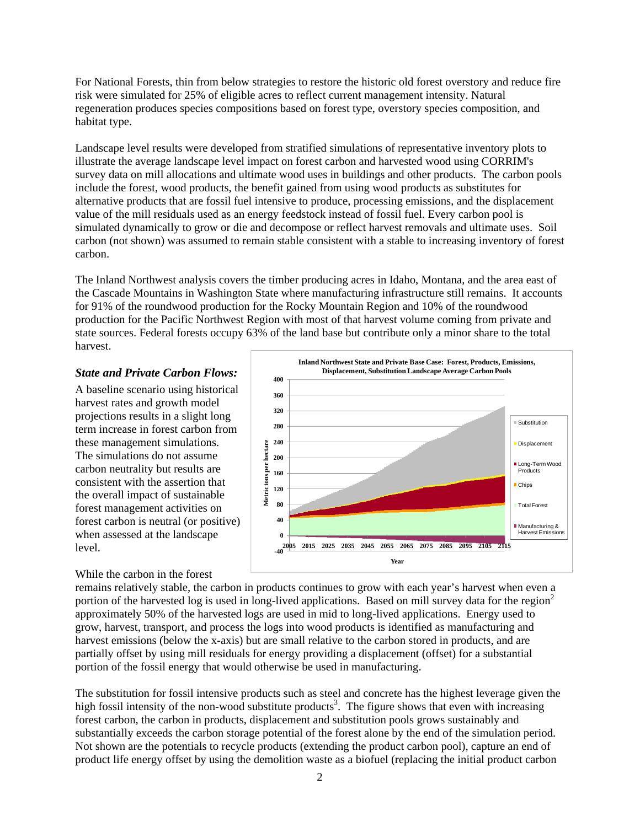For National Forests, thin from below strategies to restore the historic old forest overstory and reduce fire risk were simulated for 25% of eligible acres to reflect current management intensity. Natural regeneration produces species compositions based on forest type, overstory species composition, and habitat type.

Landscape level results were developed from stratified simulations of representative inventory plots to illustrate the average landscape level impact on forest carbon and harvested wood using CORRIM's survey data on mill allocations and ultimate wood uses in buildings and other products. The carbon pools include the forest, wood products, the benefit gained from using wood products as substitutes for alternative products that are fossil fuel intensive to produce, processing emissions, and the displacement value of the mill residuals used as an energy feedstock instead of fossil fuel. Every carbon pool is simulated dynamically to grow or die and decompose or reflect harvest removals and ultimate uses. Soil carbon (not shown) was assumed to remain stable consistent with a stable to increasing inventory of forest carbon.

The Inland Northwest analysis covers the timber producing acres in Idaho, Montana, and the area east of the Cascade Mountains in Washington State where manufacturing infrastructure still remains. It accounts for 91% of the roundwood production for the Rocky Mountain Region and 10% of the roundwood production for the Pacific Northwest Region with most of that harvest volume coming from private and state sources. Federal forests occupy 63% of the land base but contribute only a minor share to the total harvest.

#### *State and Private Carbon Flows:*

A baseline scenario using historical harvest rates and growth model projections results in a slight long term increase in forest carbon from these management simulations. The simulations do not assume carbon neutrality but results are consistent with the assertion that the overall impact of sustainable forest management activities on forest carbon is neutral (or positive) when assessed at the landscape level.

#### While the carbon in the forest



remains relatively stable, the carbon in products continues to grow with each year's harvest when even a portion of the harvested log is used in long-lived applications. Based on mill survey data for the region<sup>2</sup> approximately 50% of the harvested logs are used in mid to long-lived applications. Energy used to grow, harvest, transport, and process the logs into wood products is identified as manufacturing and harvest emissions (below the x-axis) but are small relative to the carbon stored in products, and are partially offset by using mill residuals for energy providing a displacement (offset) for a substantial portion of the fossil energy that would otherwise be used in manufacturing.

The substitution for fossil intensive products such as steel and concrete has the highest leverage given the high fossil intensity of the non-wood substitute products<sup>3</sup>. The figure shows that even with increasing forest carbon, the carbon in products, displacement and substitution pools grows sustainably and substantially exceeds the carbon storage potential of the forest alone by the end of the simulation period. Not shown are the potentials to recycle products (extending the product carbon pool), capture an end of product life energy offset by using the demolition waste as a biofuel (replacing the initial product carbon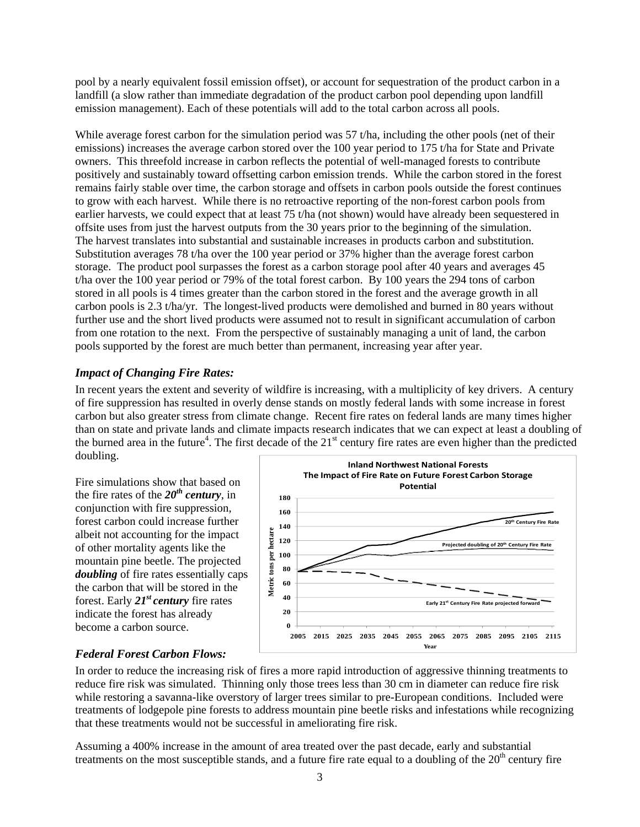pool by a nearly equivalent fossil emission offset), or account for sequestration of the product carbon in a landfill (a slow rather than immediate degradation of the product carbon pool depending upon landfill emission management). Each of these potentials will add to the total carbon across all pools.

While average forest carbon for the simulation period was 57 t/ha, including the other pools (net of their emissions) increases the average carbon stored over the 100 year period to 175 t/ha for State and Private owners. This threefold increase in carbon reflects the potential of well-managed forests to contribute positively and sustainably toward offsetting carbon emission trends. While the carbon stored in the forest remains fairly stable over time, the carbon storage and offsets in carbon pools outside the forest continues to grow with each harvest. While there is no retroactive reporting of the non-forest carbon pools from earlier harvests, we could expect that at least 75 t/ha (not shown) would have already been sequestered in offsite uses from just the harvest outputs from the 30 years prior to the beginning of the simulation. The harvest translates into substantial and sustainable increases in products carbon and substitution. Substitution averages 78 t/ha over the 100 year period or 37% higher than the average forest carbon storage. The product pool surpasses the forest as a carbon storage pool after 40 years and averages 45 t/ha over the 100 year period or 79% of the total forest carbon. By 100 years the 294 tons of carbon stored in all pools is 4 times greater than the carbon stored in the forest and the average growth in all carbon pools is 2.3 t/ha/yr. The longest-lived products were demolished and burned in 80 years without further use and the short lived products were assumed not to result in significant accumulation of carbon from one rotation to the next. From the perspective of sustainably managing a unit of land, the carbon pools supported by the forest are much better than permanent, increasing year after year.

## *Impact of Changing Fire Rates:*

In recent years the extent and severity of wildfire is increasing, with a multiplicity of key drivers. A century of fire suppression has resulted in overly dense stands on mostly federal lands with some increase in forest carbon but also greater stress from climate change. Recent fire rates on federal lands are many times higher than on state and private lands and climate impacts research indicates that we can expect at least a doubling of the burned area in the future<sup>4</sup>. The first decade of the  $21<sup>st</sup>$  century fire rates are even higher than the predicted doubling.

Fire simulations show that based on the fire rates of the  $20<sup>th</sup>$  century, in conjunction with fire suppression, forest carbon could increase further albeit not accounting for the impact of other mortality agents like the mountain pine beetle. The projected *doubling* of fire rates essentially caps the carbon that will be stored in the forest. Early *21st century* fire rates indicate the forest has already become a carbon source.



## *Federal Forest Carbon Flows:*

In order to reduce the increasing risk of fires a more rapid introduction of aggressive thinning treatments to reduce fire risk was simulated. Thinning only those trees less than 30 cm in diameter can reduce fire risk while restoring a savanna-like overstory of larger trees similar to pre-European conditions. Included were treatments of lodgepole pine forests to address mountain pine beetle risks and infestations while recognizing that these treatments would not be successful in ameliorating fire risk.

Assuming a 400% increase in the amount of area treated over the past decade, early and substantial treatments on the most susceptible stands, and a future fire rate equal to a doubling of the  $20<sup>th</sup>$  century fire